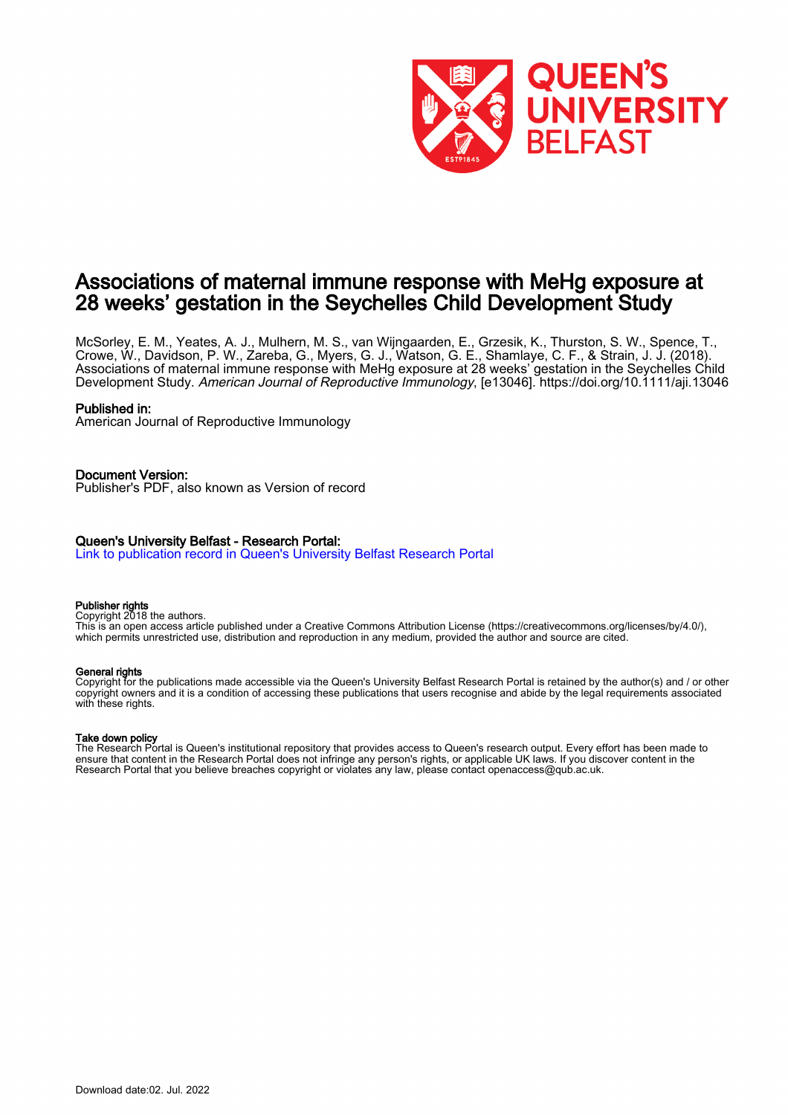

## Associations of maternal immune response with MeHg exposure at 28 weeks' gestation in the Seychelles Child Development Study

McSorley, E. M., Yeates, A. J., Mulhern, M. S., van Wijngaarden, E., Grzesik, K., Thurston, S. W., Spence, T., Crowe, W., Davidson, P. W., Zareba, G., Myers, G. J., Watson, G. E., Shamlaye, C. F., & Strain, J. J. (2018). Associations of maternal immune response with MeHg exposure at 28 weeks' gestation in the Seychelles Child Development Study. American Journal of Reproductive Immunology, [e13046]. <https://doi.org/10.1111/aji.13046>

#### Published in:

American Journal of Reproductive Immunology

Document Version: Publisher's PDF, also known as Version of record

### Queen's University Belfast - Research Portal:

[Link to publication record in Queen's University Belfast Research Portal](https://pure.qub.ac.uk/en/publications/3f3dbd65-d9df-47aa-bff8-0a1e883c56ee)

#### Publisher rights

Copyright 2018 the authors.

This is an open access article published under a Creative Commons Attribution License (https://creativecommons.org/licenses/by/4.0/), which permits unrestricted use, distribution and reproduction in any medium, provided the author and source are cited.

#### General rights

Copyright for the publications made accessible via the Queen's University Belfast Research Portal is retained by the author(s) and / or other copyright owners and it is a condition of accessing these publications that users recognise and abide by the legal requirements associated with these rights.

#### Take down policy

The Research Portal is Queen's institutional repository that provides access to Queen's research output. Every effort has been made to ensure that content in the Research Portal does not infringe any person's rights, or applicable UK laws. If you discover content in the Research Portal that you believe breaches copyright or violates any law, please contact openaccess@qub.ac.uk.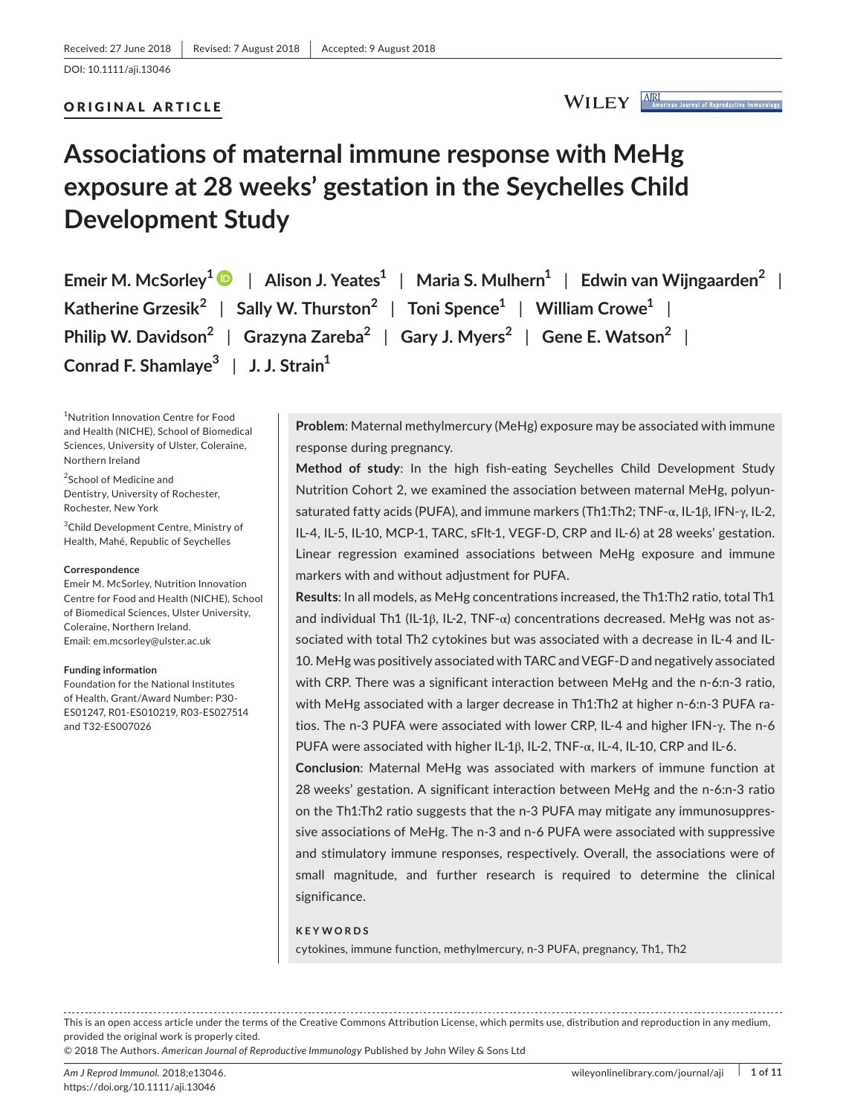#### ORIGINAL ARTICLE

```
WILEY AIRI
```
# **Associations of maternal immune response with MeHg exposure at 28 weeks' gestation in the Seychelles Child Development Study**

**Emeir M. McSorley1** | **Alison J. Yeates<sup>1</sup>** | **Maria S. Mulhern<sup>1</sup>** | **Edwin van Wijngaarden<sup>2</sup>** | **Katherine Grzesik<sup>2</sup>** | **Sally W. Thurston<sup>2</sup>** | **Toni Spence<sup>1</sup>** | **William Crowe<sup>1</sup>** | **Philip W. Davidson<sup>2</sup>** | **Grazyna Zareba<sup>2</sup>** | **Gary J. Myers<sup>2</sup>** | **Gene E. Watson<sup>2</sup>** | **Conrad F. Shamlaye3** | **J. J. Strain<sup>1</sup>**

1 Nutrition Innovation Centre for Food and Health (NICHE), School of Biomedical Sciences, University of Ulster, Coleraine, Northern Ireland

<sup>2</sup>School of Medicine and Dentistry, University of Rochester, Rochester, New York

3 Child Development Centre, Ministry of Health, Mahé, Republic of Seychelles

#### **Correspondence**

Emeir M. McSorley, Nutrition Innovation Centre for Food and Health (NICHE), School of Biomedical Sciences, Ulster University, Coleraine, Northern Ireland. Email: [em.mcsorley@ulster.ac.uk](mailto:em.mcsorley@ulster.ac.uk)

#### **Funding information**

Foundation for the National Institutes of Health, Grant/Award Number: P30- ES01247, R01-ES010219, R03-ES027514 and T32-ES007026

**Problem**: Maternal methylmercury (MeHg) exposure may be associated with immune response during pregnancy.

**Method of study**: In the high fish-eating Seychelles Child Development Study Nutrition Cohort 2, we examined the association between maternal MeHg, polyunsaturated fatty acids (PUFA), and immune markers (Th1:Th2; TNF-α, IL-1β, IFN-γ, IL-2, IL-4, IL-5, IL-10, MCP-1, TARC, sFlt-1, VEGF-D, CRP and IL-6) at 28 weeks' gestation. Linear regression examined associations between MeHg exposure and immune markers with and without adjustment for PUFA.

**Results**: In all models, as MeHg concentrations increased, the Th1:Th2 ratio, total Th1 and individual Th1 (IL-1 $\beta$ , IL-2, TNF- $\alpha$ ) concentrations decreased. MeHg was not associated with total Th2 cytokines but was associated with a decrease in IL-4 and IL-10. MeHg was positively associated with TARC and VEGF-D and negatively associated with CRP. There was a significant interaction between MeHg and the n-6:n-3 ratio, with MeHg associated with a larger decrease in Th1:Th2 at higher n-6:n-3 PUFA ratios. The n-3 PUFA were associated with lower CRP, IL-4 and higher IFN-γ. The n-6 PUFA were associated with higher IL-1β, IL-2, TNF-α, IL-4, IL-10, CRP and IL-6.

**Conclusion**: Maternal MeHg was associated with markers of immune function at 28 weeks' gestation. A significant interaction between MeHg and the n-6:n-3 ratio on the Th1:Th2 ratio suggests that the n-3 PUFA may mitigate any immunosuppressive associations of MeHg. The n-3 and n-6 PUFA were associated with suppressive and stimulatory immune responses, respectively. Overall, the associations were of small magnitude, and further research is required to determine the clinical significance.

#### **KEYWORDS**

cytokines, immune function, methylmercury, n-3 PUFA, pregnancy, Th1, Th2

This is an open access article under the terms of the Creative Commons [Attribution](http://creativecommons.org/licenses/by/4.0/) License, which permits use, distribution and reproduction in any medium, provided the original work is properly cited.

© 2018 The Authors. *American Journal of Reproductive Immunology* Published by John Wiley & Sons Ltd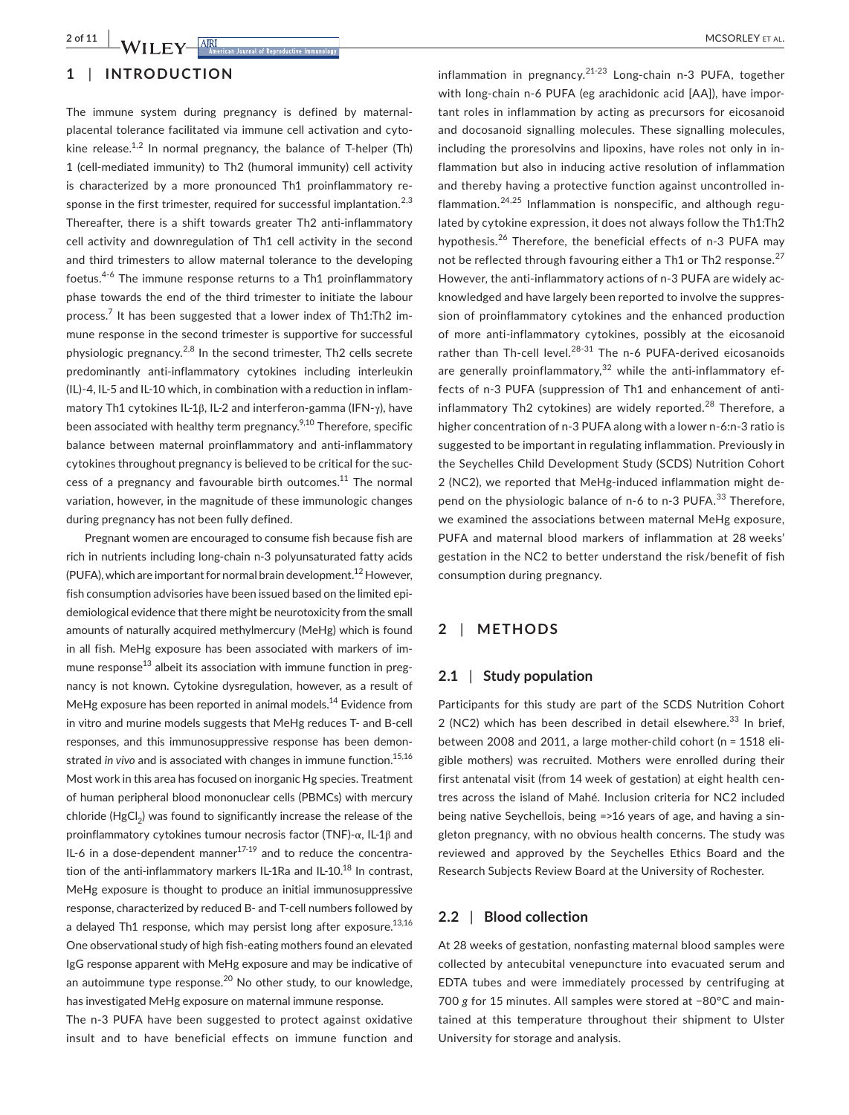## **1** | **INTRODUCTION**

The immune system during pregnancy is defined by maternalplacental tolerance facilitated via immune cell activation and cytokine release.<sup>1,2</sup> In normal pregnancy, the balance of T-helper (Th) 1 (cell-mediated immunity) to Th2 (humoral immunity) cell activity is characterized by a more pronounced Th1 proinflammatory response in the first trimester, required for successful implantation.<sup>2,3</sup> Thereafter, there is a shift towards greater Th2 anti-inflammatory cell activity and downregulation of Th1 cell activity in the second and third trimesters to allow maternal tolerance to the developing foetus.4-6 The immune response returns to a Th1 proinflammatory phase towards the end of the third trimester to initiate the labour process.<sup>7</sup> It has been suggested that a lower index of Th1:Th2 immune response in the second trimester is supportive for successful physiologic pregnancy.<sup>2,8</sup> In the second trimester, Th<sub>2</sub> cells secrete predominantly anti-inflammatory cytokines including interleukin (IL)-4, IL-5 and IL-10 which, in combination with a reduction in inflammatory Th1 cytokines IL-1β, IL-2 and interferon-gamma (IFN-γ), have been associated with healthy term pregnancy. $9,10$  Therefore, specific balance between maternal proinflammatory and anti-inflammatory cytokines throughout pregnancy is believed to be critical for the success of a pregnancy and favourable birth outcomes.<sup>11</sup> The normal variation, however, in the magnitude of these immunologic changes during pregnancy has not been fully defined.

Pregnant women are encouraged to consume fish because fish are rich in nutrients including long-chain n-3 polyunsaturated fatty acids (PUFA), which are important for normal brain development.<sup>12</sup> However, fish consumption advisories have been issued based on the limited epidemiological evidence that there might be neurotoxicity from the small amounts of naturally acquired methylmercury (MeHg) which is found in all fish. MeHg exposure has been associated with markers of immune response<sup>13</sup> albeit its association with immune function in pregnancy is not known. Cytokine dysregulation, however, as a result of MeHg exposure has been reported in animal models.<sup>14</sup> Evidence from in vitro and murine models suggests that MeHg reduces T- and B-cell responses, and this immunosuppressive response has been demonstrated *in vivo* and is associated with changes in immune function.<sup>15,16</sup> Most work in this area has focused on inorganic Hg species. Treatment of human peripheral blood mononuclear cells (PBMCs) with mercury chloride  $(HgCl<sub>2</sub>)$  was found to significantly increase the release of the proinflammatory cytokines tumour necrosis factor (TNF)-α, IL-1β and IL-6 in a dose-dependent manner<sup>17-19</sup> and to reduce the concentration of the anti-inflammatory markers IL-1Ra and IL-10.<sup>18</sup> In contrast, MeHg exposure is thought to produce an initial immunosuppressive response, characterized by reduced B- and T-cell numbers followed by a delayed Th1 response, which may persist long after exposure.<sup>13,16</sup> One observational study of high fish-eating mothers found an elevated IgG response apparent with MeHg exposure and may be indicative of an autoimmune type response.<sup>20</sup> No other study, to our knowledge, has investigated MeHg exposure on maternal immune response.

The n-3 PUFA have been suggested to protect against oxidative insult and to have beneficial effects on immune function and

inflammation in pregnancy. $21-23$  Long-chain n-3 PUFA, together with long-chain n-6 PUFA (eg arachidonic acid [AA]), have important roles in inflammation by acting as precursors for eicosanoid and docosanoid signalling molecules. These signalling molecules, including the proresolvins and lipoxins, have roles not only in inflammation but also in inducing active resolution of inflammation and thereby having a protective function against uncontrolled inflammation.<sup>24,25</sup> Inflammation is nonspecific, and although regulated by cytokine expression, it does not always follow the Th1:Th2 hypothesis.<sup>26</sup> Therefore, the beneficial effects of n-3 PUFA may not be reflected through favouring either a Th1 or Th2 response.<sup>27</sup> However, the anti-inflammatory actions of n-3 PUFA are widely acknowledged and have largely been reported to involve the suppression of proinflammatory cytokines and the enhanced production of more anti-inflammatory cytokines, possibly at the eicosanoid rather than Th-cell level. $28-31$  The n-6 PUFA-derived eicosanoids are generally proinflammatory, $32$  while the anti-inflammatory effects of n-3 PUFA (suppression of Th1 and enhancement of antiinflammatory Th2 cytokines) are widely reported.<sup>28</sup> Therefore, a higher concentration of n-3 PUFA along with a lower n-6:n-3 ratio is suggested to be important in regulating inflammation. Previously in the Seychelles Child Development Study (SCDS) Nutrition Cohort 2 (NC2), we reported that MeHg-induced inflammation might depend on the physiologic balance of n-6 to n-3 PUFA.<sup>33</sup> Therefore, we examined the associations between maternal MeHg exposure, PUFA and maternal blood markers of inflammation at 28 weeks' gestation in the NC2 to better understand the risk/benefit of fish consumption during pregnancy.

### **2** | **METHODS**

#### **2.1** | **Study population**

Participants for this study are part of the SCDS Nutrition Cohort 2 (NC2) which has been described in detail elsewhere. $33$  In brief, between 2008 and 2011, a large mother-child cohort (n = 1518 eligible mothers) was recruited. Mothers were enrolled during their first antenatal visit (from 14 week of gestation) at eight health centres across the island of Mahé. Inclusion criteria for NC2 included being native Seychellois, being =>16 years of age, and having a singleton pregnancy, with no obvious health concerns. The study was reviewed and approved by the Seychelles Ethics Board and the Research Subjects Review Board at the University of Rochester.

#### **2.2** | **Blood collection**

At 28 weeks of gestation, nonfasting maternal blood samples were collected by antecubital venepuncture into evacuated serum and EDTA tubes and were immediately processed by centrifuging at 700 *g* for 15 minutes. All samples were stored at −80°C and maintained at this temperature throughout their shipment to Ulster University for storage and analysis.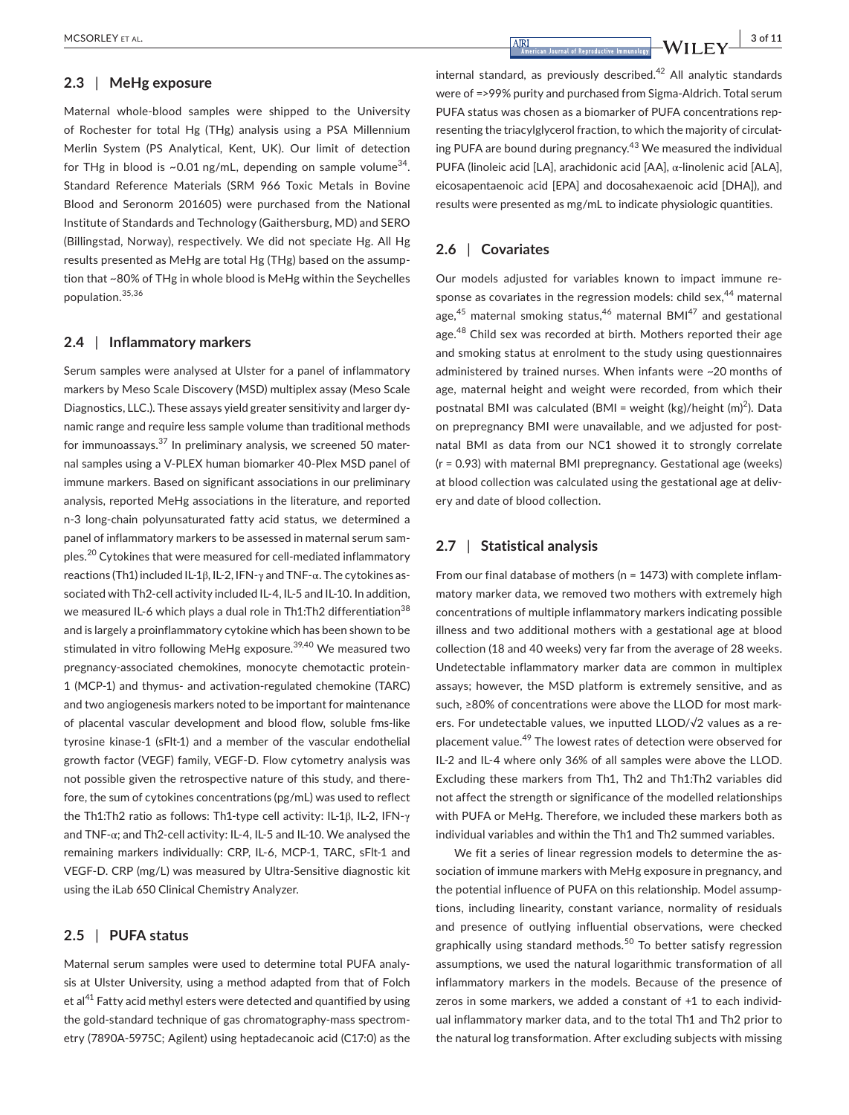## **2.3** | **MeHg exposure**

Maternal whole-blood samples were shipped to the University of Rochester for total Hg (THg) analysis using a PSA Millennium Merlin System (PS Analytical, Kent, UK). Our limit of detection for THg in blood is ~0.01 ng/mL, depending on sample volume<sup>34</sup>. Standard Reference Materials (SRM 966 Toxic Metals in Bovine Blood and Seronorm 201605) were purchased from the National Institute of Standards and Technology (Gaithersburg, MD) and SERO (Billingstad, Norway), respectively. We did not speciate Hg. All Hg results presented as MeHg are total Hg (THg) based on the assumption that ~80% of THg in whole blood is MeHg within the Seychelles population.35,36

#### **2.4** | **Inflammatory markers**

Serum samples were analysed at Ulster for a panel of inflammatory markers by Meso Scale Discovery (MSD) multiplex assay (Meso Scale Diagnostics, LLC.). These assays yield greater sensitivity and larger dynamic range and require less sample volume than traditional methods for immunoassays.<sup>37</sup> In preliminary analysis, we screened 50 maternal samples using a V-PLEX human biomarker 40-Plex MSD panel of immune markers. Based on significant associations in our preliminary analysis, reported MeHg associations in the literature, and reported n-3 long-chain polyunsaturated fatty acid status, we determined a panel of inflammatory markers to be assessed in maternal serum samples.<sup>20</sup> Cytokines that were measured for cell-mediated inflammatory reactions (Th1) included IL-1β, IL-2, IFN-γ and TNF-α. The cytokines associated with Th2-cell activity included IL-4, IL-5 and IL-10. In addition, we measured IL-6 which plays a dual role in Th1:Th2 differentiation<sup>38</sup> and is largely a proinflammatory cytokine which has been shown to be stimulated in vitro following MeHg exposure.<sup>39,40</sup> We measured two pregnancy-associated chemokines, monocyte chemotactic protein-1 (MCP-1) and thymus- and activation-regulated chemokine (TARC) and two angiogenesis markers noted to be important for maintenance of placental vascular development and blood flow, soluble fms-like tyrosine kinase-1 (sFlt-1) and a member of the vascular endothelial growth factor (VEGF) family, VEGF-D. Flow cytometry analysis was not possible given the retrospective nature of this study, and therefore, the sum of cytokines concentrations (pg/mL) was used to reflect the Th1:Th2 ratio as follows: Th1-type cell activity: IL-1β, IL-2, IFN-γ and TNF-α; and Th2-cell activity: IL-4, IL-5 and IL-10. We analysed the remaining markers individually: CRP, IL-6, MCP-1, TARC, sFlt-1 and VEGF-D. CRP (mg/L) was measured by Ultra-Sensitive diagnostic kit using the iLab 650 Clinical Chemistry Analyzer.

#### **2.5** | **PUFA status**

Maternal serum samples were used to determine total PUFA analysis at Ulster University, using a method adapted from that of Folch et al $^{41}$  Fatty acid methyl esters were detected and quantified by using the gold-standard technique of gas chromatography-mass spectrometry (7890A-5975C; Agilent) using heptadecanoic acid (C17:0) as the

internal standard, as previously described.<sup>42</sup> All analytic standards were of =>99% purity and purchased from Sigma-Aldrich. Total serum PUFA status was chosen as a biomarker of PUFA concentrations representing the triacylglycerol fraction, to which the majority of circulating PUFA are bound during pregnancy.<sup>43</sup> We measured the individual PUFA (linoleic acid [LA], arachidonic acid [AA], α-linolenic acid [ALA], eicosapentaenoic acid [EPA] and docosahexaenoic acid [DHA]), and results were presented as mg/mL to indicate physiologic quantities.

#### **2.6** | **Covariates**

Our models adjusted for variables known to impact immune response as covariates in the regression models: child sex,<sup>44</sup> maternal age, $45$  maternal smoking status, $46$  maternal BMI $47$  and gestational age.<sup>48</sup> Child sex was recorded at birth. Mothers reported their age and smoking status at enrolment to the study using questionnaires administered by trained nurses. When infants were ~20 months of age, maternal height and weight were recorded, from which their postnatal BMI was calculated (BMI = weight (kg)/height  $(m)^2$ ). Data on prepregnancy BMI were unavailable, and we adjusted for postnatal BMI as data from our NC1 showed it to strongly correlate (r = 0.93) with maternal BMI prepregnancy. Gestational age (weeks) at blood collection was calculated using the gestational age at delivery and date of blood collection.

#### **2.7** | **Statistical analysis**

From our final database of mothers (n = 1473) with complete inflammatory marker data, we removed two mothers with extremely high concentrations of multiple inflammatory markers indicating possible illness and two additional mothers with a gestational age at blood collection (18 and 40 weeks) very far from the average of 28 weeks. Undetectable inflammatory marker data are common in multiplex assays; however, the MSD platform is extremely sensitive, and as such, ≥80% of concentrations were above the LLOD for most markers. For undetectable values, we inputted LLOD/√2 values as a replacement value.<sup>49</sup> The lowest rates of detection were observed for IL-2 and IL-4 where only 36% of all samples were above the LLOD. Excluding these markers from Th1, Th2 and Th1:Th2 variables did not affect the strength or significance of the modelled relationships with PUFA or MeHg. Therefore, we included these markers both as individual variables and within the Th1 and Th2 summed variables.

We fit a series of linear regression models to determine the association of immune markers with MeHg exposure in pregnancy, and the potential influence of PUFA on this relationship. Model assumptions, including linearity, constant variance, normality of residuals and presence of outlying influential observations, were checked graphically using standard methods.<sup>50</sup> To better satisfy regression assumptions, we used the natural logarithmic transformation of all inflammatory markers in the models. Because of the presence of zeros in some markers, we added a constant of +1 to each individual inflammatory marker data, and to the total Th1 and Th2 prior to the natural log transformation. After excluding subjects with missing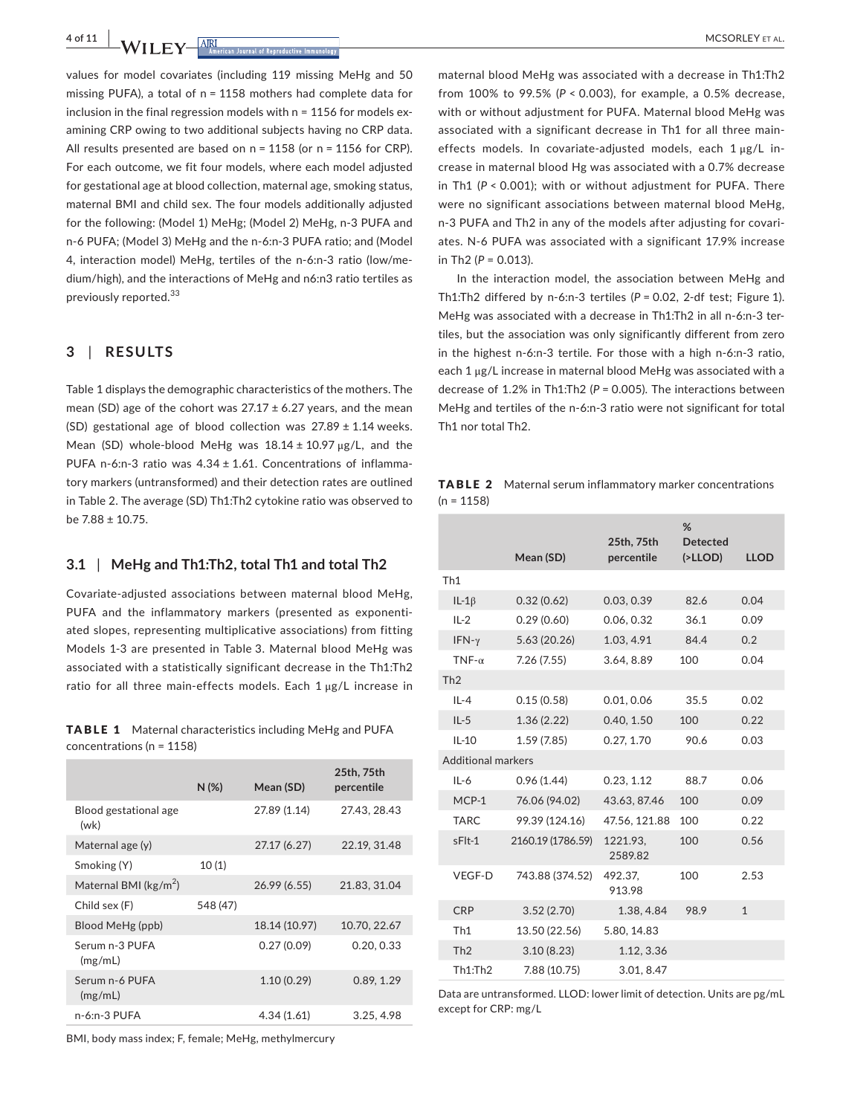**4 of 11 |**  MCSORLEY et al.

values for model covariates (including 119 missing MeHg and 50 missing PUFA), a total of n = 1158 mothers had complete data for inclusion in the final regression models with n = 1156 for models examining CRP owing to two additional subjects having no CRP data. All results presented are based on n = 1158 (or n = 1156 for CRP). For each outcome, we fit four models, where each model adjusted for gestational age at blood collection, maternal age, smoking status, maternal BMI and child sex. The four models additionally adjusted for the following: (Model 1) MeHg; (Model 2) MeHg, n-3 PUFA and n-6 PUFA; (Model 3) MeHg and the n-6:n-3 PUFA ratio; and (Model 4, interaction model) MeHg, tertiles of the n-6:n-3 ratio (low/medium/high), and the interactions of MeHg and n6:n3 ratio tertiles as previously reported.<sup>33</sup>

## **3** | **RESULTS**

Table 1 displays the demographic characteristics of the mothers. The mean (SD) age of the cohort was  $27.17 \pm 6.27$  years, and the mean (SD) gestational age of blood collection was  $27.89 \pm 1.14$  weeks. Mean (SD) whole-blood MeHg was  $18.14 \pm 10.97 \,\mu$ g/L, and the PUFA n-6:n-3 ratio was  $4.34 \pm 1.61$ . Concentrations of inflammatory markers (untransformed) and their detection rates are outlined in Table 2. The average (SD) Th1:Th2 cytokine ratio was observed to be 7.88 ± 10.75.

#### **3.1** | **MeHg and Th1:Th2, total Th1 and total Th2**

Covariate-adjusted associations between maternal blood MeHg, PUFA and the inflammatory markers (presented as exponentiated slopes, representing multiplicative associations) from fitting Models 1-3 are presented in Table 3. Maternal blood MeHg was associated with a statistically significant decrease in the Th1:Th2 ratio for all three main-effects models. Each 1 μg/L increase in

TABLE 1 Maternal characteristics including MeHg and PUFA concentrations (n = 1158)

|                                  | $N(\%)$  | Mean (SD)     | 25th, 75th<br>percentile |
|----------------------------------|----------|---------------|--------------------------|
| Blood gestational age<br>(wk)    |          | 27.89 (1.14)  | 27.43, 28.43             |
| Maternal age (y)                 |          | 27.17 (6.27)  | 22.19, 31.48             |
| Smoking (Y)                      | 10(1)    |               |                          |
| Maternal BMI ( $\text{kg/m}^2$ ) |          | 26.99 (6.55)  | 21.83, 31.04             |
| Child sex (F)                    | 548 (47) |               |                          |
| Blood MeHg (ppb)                 |          | 18.14 (10.97) | 10.70, 22.67             |
| Serum n-3 PUFA<br>(mg/mL)        |          | 0.27(0.09)    | 0.20, 0.33               |
| Serum n-6 PUFA<br>(mg/mL)        |          | 1.10(0.29)    | 0.89, 1.29               |
| n-6:n-3 PUFA                     |          | 4.34(1.61)    | 3.25, 4.98               |

BMI, body mass index; F, female; MeHg, methylmercury

maternal blood MeHg was associated with a decrease in Th1:Th2 from 100% to 99.5% (*P* < 0.003), for example, a 0.5% decrease, with or without adjustment for PUFA. Maternal blood MeHg was associated with a significant decrease in Th1 for all three maineffects models. In covariate-adjusted models, each 1 μg/L increase in maternal blood Hg was associated with a 0.7% decrease in Th1 (*P* < 0.001); with or without adjustment for PUFA. There were no significant associations between maternal blood MeHg, n-3 PUFA and Th2 in any of the models after adjusting for covariates. N-6 PUFA was associated with a significant 17.9% increase in Th<sub>2</sub>  $(P = 0.013)$ .

In the interaction model, the association between MeHg and Th1:Th2 differed by n-6:n-3 tertiles (*P* = 0.02, 2-df test; Figure 1). MeHg was associated with a decrease in Th1:Th2 in all n-6:n-3 tertiles, but the association was only significantly different from zero in the highest n-6:n-3 tertile. For those with a high n-6:n-3 ratio, each 1 μg/L increase in maternal blood MeHg was associated with a decrease of 1.2% in Th1:Th2 (*P* = 0.005). The interactions between MeHg and tertiles of the n-6:n-3 ratio were not significant for total Th1 nor total Th2.

TABLE 2 Maternal serum inflammatory marker concentrations  $(n = 1158)$ 

|                           | Mean (SD)         | 25th, 75th<br>percentile | %<br><b>Detected</b><br>( >LLOD) | <b>LLOD</b>  |
|---------------------------|-------------------|--------------------------|----------------------------------|--------------|
| Th <sub>1</sub>           |                   |                          |                                  |              |
| $IL-1\beta$               | 0.32(0.62)        | 0.03, 0.39               | 82.6                             | 0.04         |
| $IL-2$                    | 0.29(0.60)        | 0.06, 0.32               | 36.1                             | 0.09         |
| IFN- $\gamma$             | 5.63(20.26)       | 1.03, 4.91               | 84.4                             | 0.2          |
| $TNF-\alpha$              | 7.26(7.55)        | 3.64, 8.89               | 100                              | 0.04         |
| Th2                       |                   |                          |                                  |              |
| $IL - 4$                  | 0.15(0.58)        | 0.01, 0.06               | 35.5                             | 0.02         |
| $IL-5$                    | 1.36(2.22)        | 0.40, 1.50               | 100                              | 0.22         |
| $IL-10$                   | 1.59(7.85)        | 0.27, 1.70               | 90.6                             | 0.03         |
| <b>Additional markers</b> |                   |                          |                                  |              |
| $IL-6$                    | 0.96(1.44)        | 0.23, 1.12               | 88.7                             | 0.06         |
| MCP-1                     | 76.06 (94.02)     | 43.63, 87.46             | 100                              | 0.09         |
| <b>TARC</b>               | 99.39 (124.16)    | 47.56, 121.88            | 100                              | 0.22         |
| sFlt-1                    | 2160.19 (1786.59) | 1221.93.<br>2589.82      | 100                              | 0.56         |
| VEGF-D                    | 743.88 (374.52)   | 492.37,<br>913.98        | 100                              | 2.53         |
| <b>CRP</b>                | 3.52(2.70)        | 1.38, 4.84               | 98.9                             | $\mathbf{1}$ |
| Th1                       | 13.50 (22.56)     | 5.80, 14.83              |                                  |              |
| Th2                       | 3.10(8.23)        | 1.12, 3.36               |                                  |              |
| Th1:Th2                   | 7.88 (10.75)      | 3.01, 8.47               |                                  |              |

Data are untransformed. LLOD: lower limit of detection. Units are pg/mL except for CRP: mg/L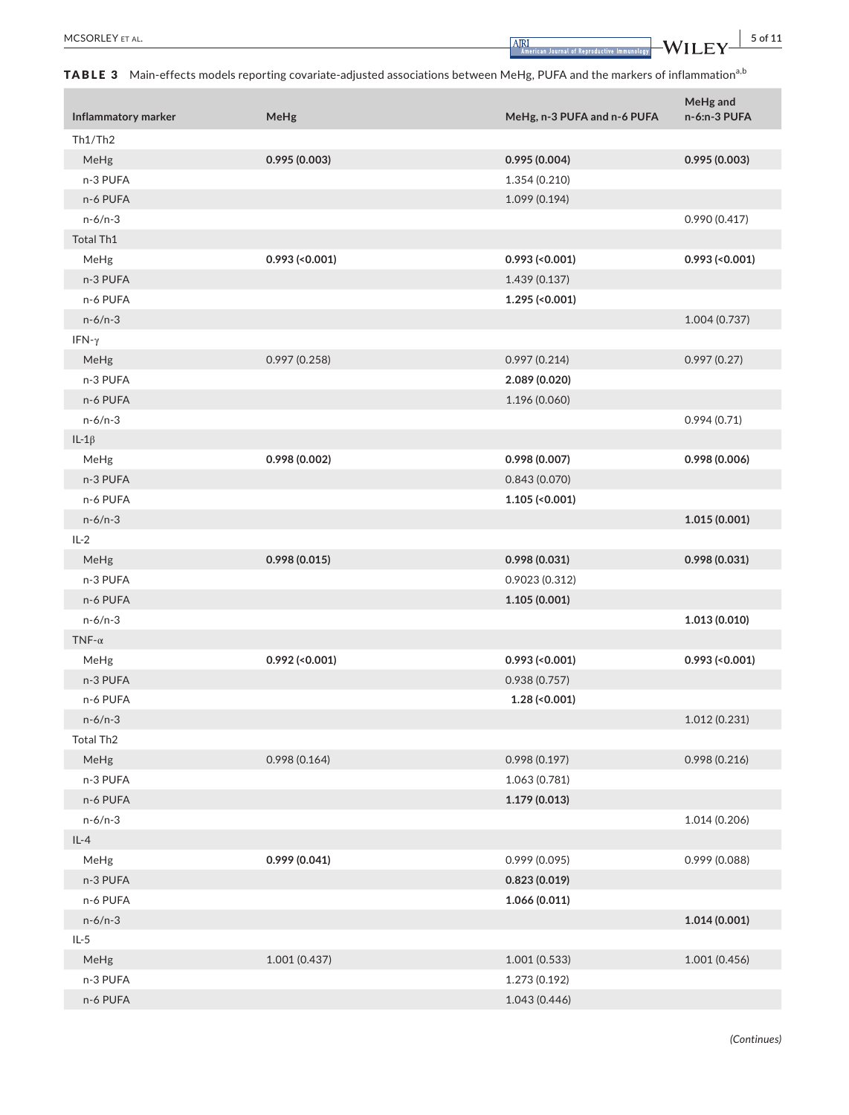TABLE 3 Main-effects models reporting covariate-adjusted associations between MeHg, PUFA and the markers of inflammation<sup>a,b</sup>

|                       |                  |                             | MeHg and         |
|-----------------------|------------------|-----------------------------|------------------|
| Inflammatory marker   | MeHg             | MeHg, n-3 PUFA and n-6 PUFA | n-6:n-3 PUFA     |
| Th1/Th2               |                  |                             |                  |
| MeHg                  | 0.995(0.003)     | 0.995(0.004)                | 0.995(0.003)     |
| n-3 PUFA              |                  | 1.354 (0.210)               |                  |
| n-6 PUFA              |                  | 1.099 (0.194)               |                  |
| $n-6/n-3$             |                  |                             | 0.990(0.417)     |
| Total Th1             |                  |                             |                  |
| MeHg                  | $0.993$ (<0.001) | $0.993$ (<0.001)            | $0.993$ (<0.001) |
| n-3 PUFA              |                  | 1.439(0.137)                |                  |
| n-6 PUFA              |                  | $1.295$ (<0.001)            |                  |
| $n-6/n-3$             |                  |                             | 1.004 (0.737)    |
| IFN- $\gamma$         |                  |                             |                  |
| MeHg                  | 0.997(0.258)     | 0.997(0.214)                | 0.997(0.27)      |
| n-3 PUFA              |                  | 2.089 (0.020)               |                  |
| n-6 PUFA              |                  | 1.196 (0.060)               |                  |
| $n-6/n-3$             |                  |                             | 0.994(0.71)      |
| IL-1 $\beta$          |                  |                             |                  |
| MeHg                  | 0.998 (0.002)    | 0.998 (0.007)               | 0.998 (0.006)    |
| n-3 PUFA              |                  | 0.843(0.070)                |                  |
| n-6 PUFA              |                  | $1.105$ (<0.001)            |                  |
| $n-6/n-3$             |                  |                             | 1.015 (0.001)    |
| $IL-2$                |                  |                             |                  |
| MeHg                  | 0.998(0.015)     | 0.998(0.031)                | 0.998(0.031)     |
| n-3 PUFA              |                  | 0.9023(0.312)               |                  |
| n-6 PUFA              |                  | 1.105(0.001)                |                  |
| $n-6/n-3$             |                  |                             | 1.013(0.010)     |
| TNF- $\alpha$         |                  |                             |                  |
| MeHg                  | $0.992$ (<0.001) | $0.993$ (<0.001)            | $0.993$ (<0.001) |
| n-3 PUFA              |                  | 0.938(0.757)                |                  |
| n-6 PUFA              |                  | $1.28$ (<0.001)             |                  |
| $n-6/n-3$             |                  |                             | 1.012(0.231)     |
| Total Th <sub>2</sub> |                  |                             |                  |
| MeHg                  | 0.998(0.164)     | 0.998(0.197)                | 0.998(0.216)     |
| n-3 PUFA              |                  | 1.063 (0.781)               |                  |
| n-6 PUFA              |                  | 1.179(0.013)                |                  |
| $n-6/n-3$             |                  |                             | 1.014 (0.206)    |
| $IL-4$                |                  |                             |                  |
| MeHg                  | 0.999(0.041)     | 0.999 (0.095)               | 0.999 (0.088)    |
| n-3 PUFA              |                  | 0.823(0.019)                |                  |
| n-6 PUFA              |                  | 1.066(0.011)                |                  |
| $n-6/n-3$             |                  |                             | 1.014(0.001)     |
| $IL-5$                |                  |                             |                  |
| MeHg                  | 1.001 (0.437)    | 1.001(0.533)                | 1.001 (0.456)    |
| n-3 PUFA              |                  | 1.273 (0.192)               |                  |
| n-6 PUFA              |                  | 1.043 (0.446)               |                  |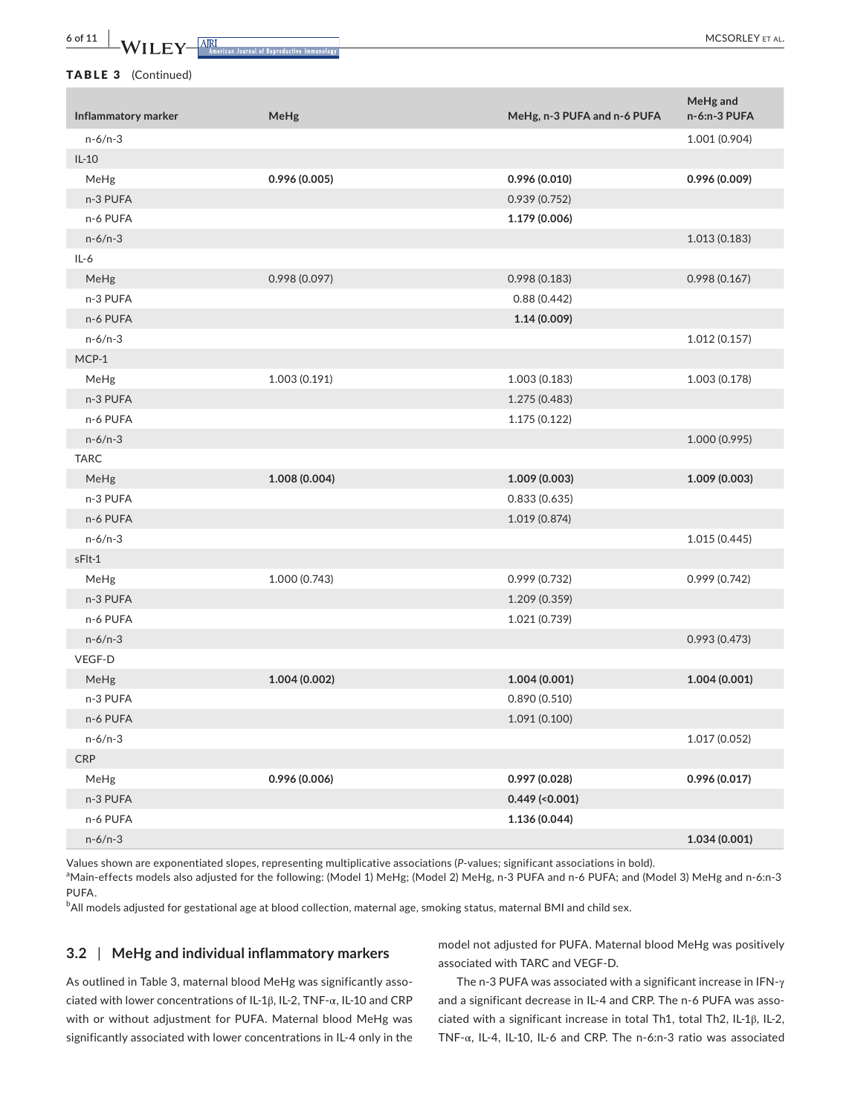**6 of 11 |**  MCSORLEY et al.

TABLE 3 (Continued)

| Inflammatory marker | MeHg          | MeHg, n-3 PUFA and n-6 PUFA | MeHg and<br>n-6:n-3 PUFA |
|---------------------|---------------|-----------------------------|--------------------------|
| $n-6/n-3$           |               |                             | 1.001 (0.904)            |
| $IL-10$             |               |                             |                          |
| MeHg                | 0.996(0.005)  | 0.996 (0.010)               | 0.996 (0.009)            |
| n-3 PUFA            |               | 0.939 (0.752)               |                          |
| n-6 PUFA            |               | 1.179 (0.006)               |                          |
| $n-6/n-3$           |               |                             | 1.013 (0.183)            |
| $IL-6$              |               |                             |                          |
| MeHg                | 0.998(0.097)  | 0.998(0.183)                | 0.998(0.167)             |
| n-3 PUFA            |               | 0.88(0.442)                 |                          |
| n-6 PUFA            |               | 1.14 (0.009)                |                          |
| $n-6/n-3$           |               |                             | 1.012(0.157)             |
| $MCP-1$             |               |                             |                          |
| MeHg                | 1.003 (0.191) | 1.003 (0.183)               | 1.003 (0.178)            |
| n-3 PUFA            |               | 1.275 (0.483)               |                          |
| n-6 PUFA            |               | 1.175 (0.122)               |                          |
| $n-6/n-3$           |               |                             | 1.000 (0.995)            |
| <b>TARC</b>         |               |                             |                          |
| MeHg                | 1.008 (0.004) | 1.009 (0.003)               | 1.009 (0.003)            |
| n-3 PUFA            |               | 0.833(0.635)                |                          |
| n-6 PUFA            |               | 1.019 (0.874)               |                          |
| $n-6/n-3$           |               |                             | 1.015 (0.445)            |
| sFlt-1              |               |                             |                          |
| MeHg                | 1.000 (0.743) | 0.999 (0.732)               | 0.999 (0.742)            |
| n-3 PUFA            |               | 1.209 (0.359)               |                          |
| n-6 PUFA            |               | 1.021 (0.739)               |                          |
| $n-6/n-3$           |               |                             | 0.993(0.473)             |
| VEGF-D              |               |                             |                          |
| MeHg                | 1.004 (0.002) | 1.004 (0.001)               | 1.004(0.001)             |
| n-3 PUFA            |               | 0.890(0.510)                |                          |
| n-6 PUFA            |               | 1.091 (0.100)               |                          |
| $n-6/n-3$           |               |                             | 1.017 (0.052)            |
| CRP                 |               |                             |                          |
| MeHg                | 0.996 (0.006) | 0.997 (0.028)               | 0.996 (0.017)            |
| n-3 PUFA            |               | $0.449$ (<0.001)            |                          |
| n-6 PUFA            |               | 1.136(0.044)                |                          |
| $n-6/n-3$           |               |                             | 1.034(0.001)             |

Values shown are exponentiated slopes, representing multiplicative associations (*P*-values; significant associations in bold).

aMain-effects models also adjusted for the following: (Model 1) MeHg; (Model 2) MeHg, n-3 PUFA and n-6 PUFA; and (Model 3) MeHg and n-6:n-3 PUFA.

 $^{\rm b}$ All models adjusted for gestational age at blood collection, maternal age, smoking status, maternal BMI and child sex.

#### **3.2** | **MeHg and individual inflammatory markers**

model not adjusted for PUFA. Maternal blood MeHg was positively associated with TARC and VEGF-D.

As outlined in Table 3, maternal blood MeHg was significantly associated with lower concentrations of IL-1β, IL-2, TNF-α, IL-10 and CRP with or without adjustment for PUFA. Maternal blood MeHg was significantly associated with lower concentrations in IL-4 only in the

The n-3 PUFA was associated with a significant increase in IFN-γ and a significant decrease in IL-4 and CRP. The n-6 PUFA was associated with a significant increase in total Th1, total Th2, IL-1β, IL-2, TNF-α, IL-4, IL-10, IL-6 and CRP. The n-6:n-3 ratio was associated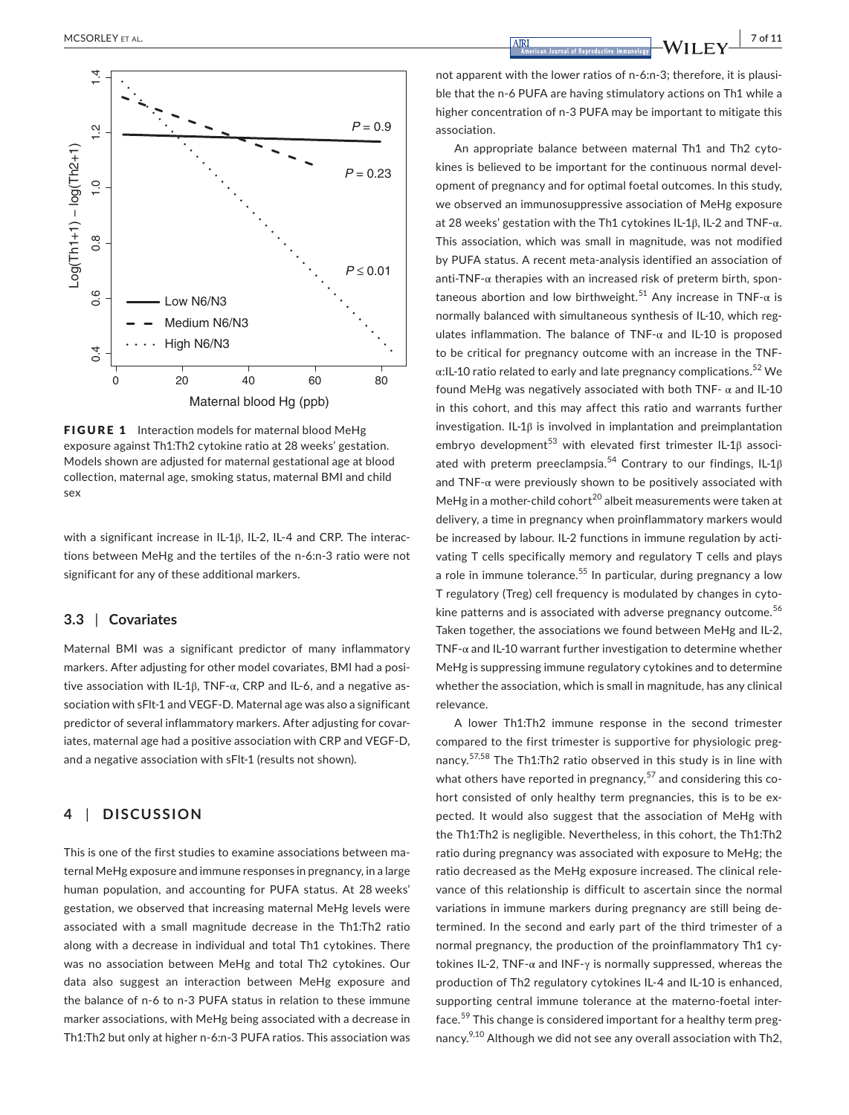

FIGURE 1 Interaction models for maternal blood MeHg exposure against Th1:Th2 cytokine ratio at 28 weeks' gestation. Models shown are adjusted for maternal gestational age at blood collection, maternal age, smoking status, maternal BMI and child sex

with a significant increase in IL-1β, IL-2, IL-4 and CRP. The interactions between MeHg and the tertiles of the n-6:n-3 ratio were not significant for any of these additional markers.

#### **3.3** | **Covariates**

Maternal BMI was a significant predictor of many inflammatory markers. After adjusting for other model covariates, BMI had a positive association with IL-1β, TNF-α, CRP and IL-6, and a negative association with sFlt-1 and VEGF-D. Maternal age was also a significant predictor of several inflammatory markers. After adjusting for covariates, maternal age had a positive association with CRP and VEGF-D, and a negative association with sFlt-1 (results not shown).

## **4** | **DISCUSSION**

This is one of the first studies to examine associations between maternal MeHg exposure and immune responses in pregnancy, in a large human population, and accounting for PUFA status. At 28 weeks' gestation, we observed that increasing maternal MeHg levels were associated with a small magnitude decrease in the Th1:Th2 ratio along with a decrease in individual and total Th1 cytokines. There was no association between MeHg and total Th2 cytokines. Our data also suggest an interaction between MeHg exposure and the balance of n-6 to n-3 PUFA status in relation to these immune marker associations, with MeHg being associated with a decrease in Th1:Th2 but only at higher n-6:n-3 PUFA ratios. This association was

not apparent with the lower ratios of n-6:n-3; therefore, it is plausible that the n-6 PUFA are having stimulatory actions on Th1 while a higher concentration of n-3 PUFA may be important to mitigate this association.

An appropriate balance between maternal Th1 and Th2 cytokines is believed to be important for the continuous normal development of pregnancy and for optimal foetal outcomes. In this study, we observed an immunosuppressive association of MeHg exposure at 28 weeks' gestation with the Th1 cytokines IL-1β, IL-2 and TNF-α. This association, which was small in magnitude, was not modified by PUFA status. A recent meta-analysis identified an association of anti-TNF- $\alpha$  therapies with an increased risk of preterm birth, spontaneous abortion and low birthweight.<sup>51</sup> Any increase in TNF- $\alpha$  is normally balanced with simultaneous synthesis of IL-10, which regulates inflammation. The balance of  $TNF-\alpha$  and IL-10 is proposed to be critical for pregnancy outcome with an increase in the TNF- $\alpha$ :IL-10 ratio related to early and late pregnancy complications.<sup>52</sup> We found MeHg was negatively associated with both TNF-  $\alpha$  and IL-10 in this cohort, and this may affect this ratio and warrants further investigation. IL-1β is involved in implantation and preimplantation embryo development<sup>53</sup> with elevated first trimester IL-1 $\beta$  associated with preterm preeclampsia.<sup>54</sup> Contrary to our findings, IL-1 $\beta$ and  $TNF-\alpha$  were previously shown to be positively associated with MeHg in a mother-child cohort<sup>20</sup> albeit measurements were taken at delivery, a time in pregnancy when proinflammatory markers would be increased by labour. IL-2 functions in immune regulation by activating T cells specifically memory and regulatory T cells and plays a role in immune tolerance.<sup>55</sup> In particular, during pregnancy a low T regulatory (Treg) cell frequency is modulated by changes in cytokine patterns and is associated with adverse pregnancy outcome.<sup>56</sup> Taken together, the associations we found between MeHg and IL-2, TNF- $\alpha$  and IL-10 warrant further investigation to determine whether MeHg is suppressing immune regulatory cytokines and to determine whether the association, which is small in magnitude, has any clinical relevance.

A lower Th1:Th2 immune response in the second trimester compared to the first trimester is supportive for physiologic pregnancy.<sup>57,58</sup> The Th1:Th2 ratio observed in this study is in line with what others have reported in pregnancy, $57$  and considering this cohort consisted of only healthy term pregnancies, this is to be expected. It would also suggest that the association of MeHg with the Th1:Th2 is negligible. Nevertheless, in this cohort, the Th1:Th2 ratio during pregnancy was associated with exposure to MeHg; the ratio decreased as the MeHg exposure increased. The clinical relevance of this relationship is difficult to ascertain since the normal variations in immune markers during pregnancy are still being determined. In the second and early part of the third trimester of a normal pregnancy, the production of the proinflammatory Th1 cytokines IL-2, TNF-α and INF-γ is normally suppressed, whereas the production of Th2 regulatory cytokines IL-4 and IL-10 is enhanced, supporting central immune tolerance at the materno-foetal interface.<sup>59</sup> This change is considered important for a healthy term pregnancy.<sup>9,10</sup> Although we did not see any overall association with Th2,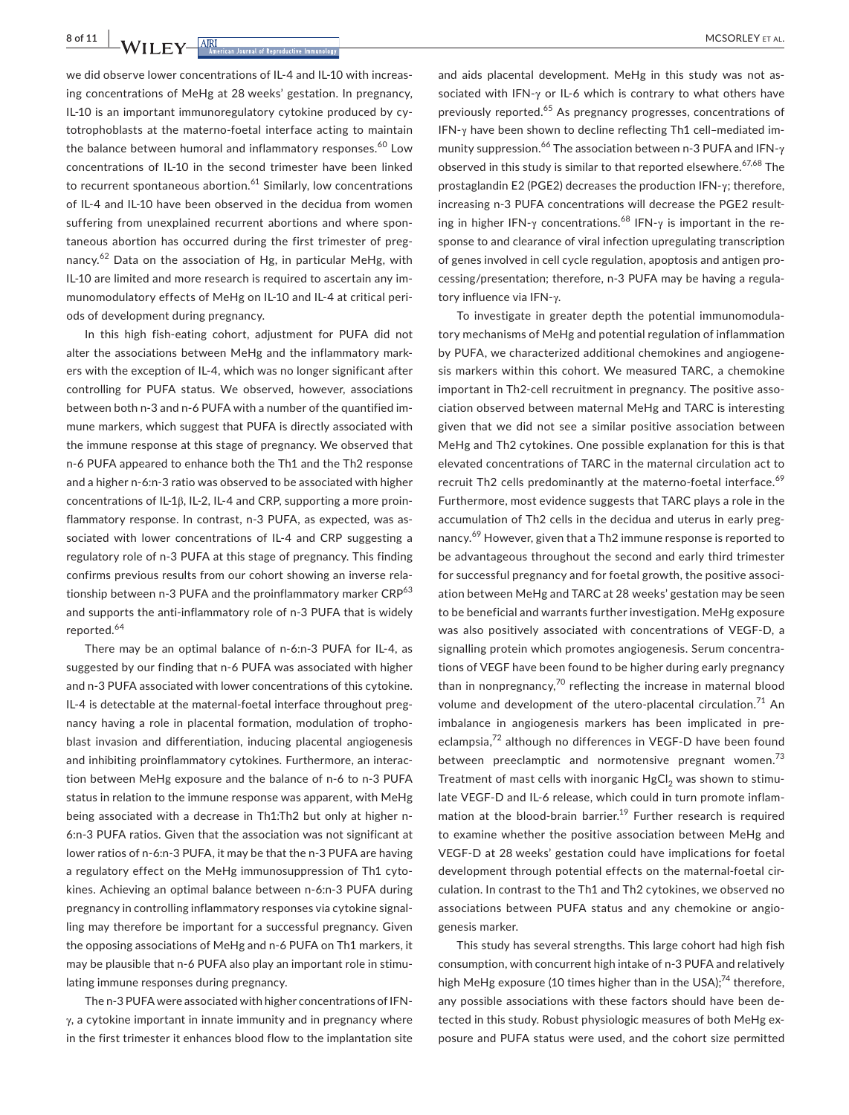**8 of 11 |**  MCSORLEY et al.

we did observe lower concentrations of IL-4 and IL-10 with increasing concentrations of MeHg at 28 weeks' gestation. In pregnancy, IL-10 is an important immunoregulatory cytokine produced by cytotrophoblasts at the materno-foetal interface acting to maintain the balance between humoral and inflammatory responses.<sup>60</sup> Low concentrations of IL-10 in the second trimester have been linked to recurrent spontaneous abortion. $61$  Similarly, low concentrations of IL-4 and IL-10 have been observed in the decidua from women suffering from unexplained recurrent abortions and where spontaneous abortion has occurred during the first trimester of pregnancy.62 Data on the association of Hg, in particular MeHg, with IL-10 are limited and more research is required to ascertain any immunomodulatory effects of MeHg on IL-10 and IL-4 at critical periods of development during pregnancy.

In this high fish-eating cohort, adjustment for PUFA did not alter the associations between MeHg and the inflammatory markers with the exception of IL-4, which was no longer significant after controlling for PUFA status. We observed, however, associations between both n-3 and n-6 PUFA with a number of the quantified immune markers, which suggest that PUFA is directly associated with the immune response at this stage of pregnancy. We observed that n-6 PUFA appeared to enhance both the Th1 and the Th2 response and a higher n-6:n-3 ratio was observed to be associated with higher concentrations of IL-1β, IL-2, IL-4 and CRP, supporting a more proinflammatory response. In contrast, n-3 PUFA, as expected, was associated with lower concentrations of IL-4 and CRP suggesting a regulatory role of n-3 PUFA at this stage of pregnancy. This finding confirms previous results from our cohort showing an inverse relationship between n-3 PUFA and the proinflammatory marker CRP<sup>63</sup> and supports the anti-inflammatory role of n-3 PUFA that is widely reported.<sup>64</sup>

There may be an optimal balance of n-6:n-3 PUFA for IL-4, as suggested by our finding that n-6 PUFA was associated with higher and n-3 PUFA associated with lower concentrations of this cytokine. IL-4 is detectable at the maternal-foetal interface throughout pregnancy having a role in placental formation, modulation of trophoblast invasion and differentiation, inducing placental angiogenesis and inhibiting proinflammatory cytokines. Furthermore, an interaction between MeHg exposure and the balance of n-6 to n-3 PUFA status in relation to the immune response was apparent, with MeHg being associated with a decrease in Th1:Th2 but only at higher n-6:n-3 PUFA ratios. Given that the association was not significant at lower ratios of n-6:n-3 PUFA, it may be that the n-3 PUFA are having a regulatory effect on the MeHg immunosuppression of Th1 cytokines. Achieving an optimal balance between n-6:n-3 PUFA during pregnancy in controlling inflammatory responses via cytokine signalling may therefore be important for a successful pregnancy. Given the opposing associations of MeHg and n-6 PUFA on Th1 markers, it may be plausible that n-6 PUFA also play an important role in stimulating immune responses during pregnancy.

The n-3 PUFA were associated with higher concentrations of IFN- $\gamma$ , a cytokine important in innate immunity and in pregnancy where in the first trimester it enhances blood flow to the implantation site

and aids placental development. MeHg in this study was not associated with IFN-γ or IL-6 which is contrary to what others have previously reported.<sup>65</sup> As pregnancy progresses, concentrations of IFN-γ have been shown to decline reflecting Th1 cell–mediated immunity suppression.<sup>66</sup> The association between n-3 PUFA and IFN-γ observed in this study is similar to that reported elsewhere.<sup>67,68</sup> The prostaglandin E2 (PGE2) decreases the production IFN-γ; therefore, increasing n-3 PUFA concentrations will decrease the PGE2 resulting in higher IFN-γ concentrations.<sup>68</sup> IFN-γ is important in the response to and clearance of viral infection upregulating transcription of genes involved in cell cycle regulation, apoptosis and antigen processing/presentation; therefore, n-3 PUFA may be having a regulatory influence via IFN-γ.

To investigate in greater depth the potential immunomodulatory mechanisms of MeHg and potential regulation of inflammation by PUFA, we characterized additional chemokines and angiogenesis markers within this cohort. We measured TARC, a chemokine important in Th2-cell recruitment in pregnancy. The positive association observed between maternal MeHg and TARC is interesting given that we did not see a similar positive association between MeHg and Th2 cytokines. One possible explanation for this is that elevated concentrations of TARC in the maternal circulation act to recruit Th2 cells predominantly at the materno-foetal interface.<sup>69</sup> Furthermore, most evidence suggests that TARC plays a role in the accumulation of Th2 cells in the decidua and uterus in early pregnancy.<sup>69</sup> However, given that a Th2 immune response is reported to be advantageous throughout the second and early third trimester for successful pregnancy and for foetal growth, the positive association between MeHg and TARC at 28 weeks' gestation may be seen to be beneficial and warrants further investigation. MeHg exposure was also positively associated with concentrations of VEGF-D, a signalling protein which promotes angiogenesis. Serum concentrations of VEGF have been found to be higher during early pregnancy than in nonpregnancy, $70$  reflecting the increase in maternal blood volume and development of the utero-placental circulation.<sup>71</sup> An imbalance in angiogenesis markers has been implicated in preeclampsia,<sup>72</sup> although no differences in VEGF-D have been found between preeclamptic and normotensive pregnant women.<sup>73</sup> Treatment of mast cells with inorganic  $HgCl<sub>2</sub>$  was shown to stimulate VEGF-D and IL-6 release, which could in turn promote inflammation at the blood-brain barrier.<sup>19</sup> Further research is required to examine whether the positive association between MeHg and VEGF-D at 28 weeks' gestation could have implications for foetal development through potential effects on the maternal-foetal circulation. In contrast to the Th1 and Th2 cytokines, we observed no associations between PUFA status and any chemokine or angiogenesis marker.

This study has several strengths. This large cohort had high fish consumption, with concurrent high intake of n-3 PUFA and relatively high MeHg exposure (10 times higher than in the USA); $^{74}$  therefore, any possible associations with these factors should have been detected in this study. Robust physiologic measures of both MeHg exposure and PUFA status were used, and the cohort size permitted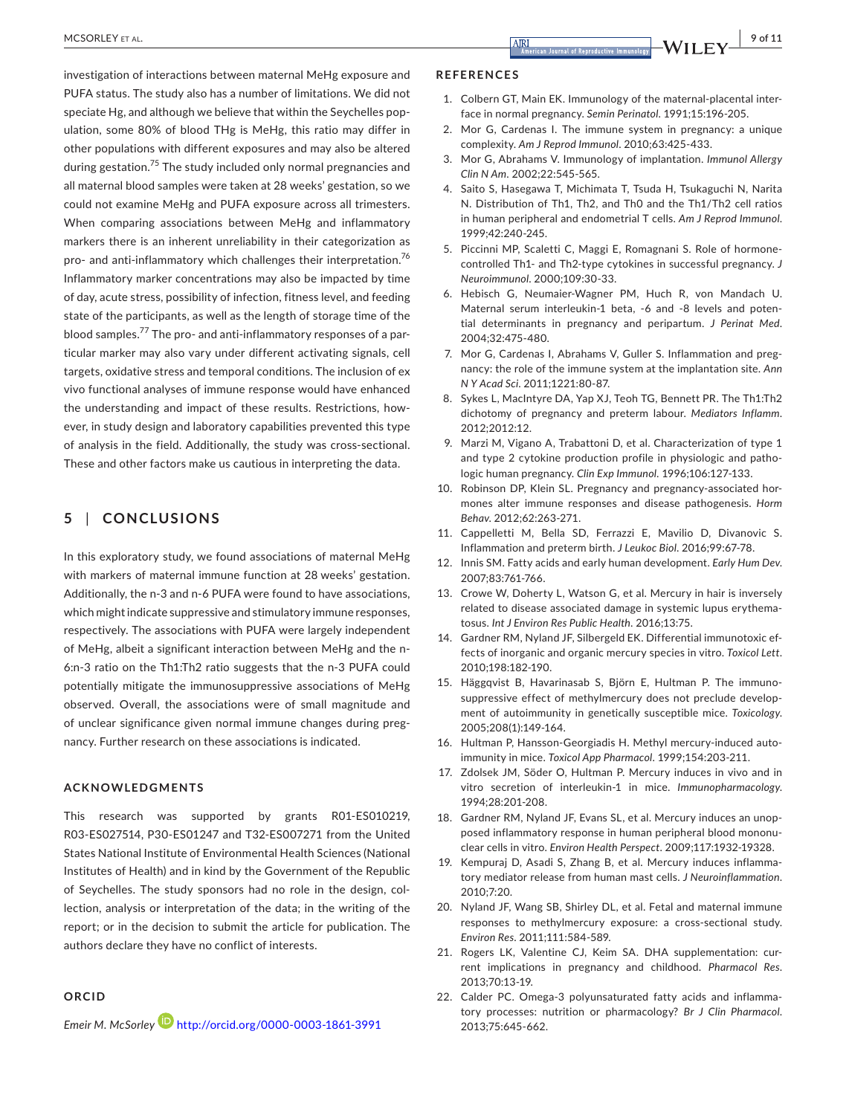investigation of interactions between maternal MeHg exposure and PUFA status. The study also has a number of limitations. We did not speciate Hg, and although we believe that within the Seychelles population, some 80% of blood THg is MeHg, this ratio may differ in other populations with different exposures and may also be altered during gestation.75 The study included only normal pregnancies and all maternal blood samples were taken at 28 weeks' gestation, so we could not examine MeHg and PUFA exposure across all trimesters. When comparing associations between MeHg and inflammatory markers there is an inherent unreliability in their categorization as pro- and anti-inflammatory which challenges their interpretation.<sup>76</sup> Inflammatory marker concentrations may also be impacted by time of day, acute stress, possibility of infection, fitness level, and feeding state of the participants, as well as the length of storage time of the blood samples.77 The pro- and anti-inflammatory responses of a particular marker may also vary under different activating signals, cell targets, oxidative stress and temporal conditions. The inclusion of ex vivo functional analyses of immune response would have enhanced the understanding and impact of these results. Restrictions, however, in study design and laboratory capabilities prevented this type of analysis in the field. Additionally, the study was cross-sectional. These and other factors make us cautious in interpreting the data.

#### **5** | **CONCLUSIONS**

In this exploratory study, we found associations of maternal MeHg with markers of maternal immune function at 28 weeks' gestation. Additionally, the n-3 and n-6 PUFA were found to have associations, which might indicate suppressive and stimulatory immune responses, respectively. The associations with PUFA were largely independent of MeHg, albeit a significant interaction between MeHg and the n-6:n-3 ratio on the Th1:Th2 ratio suggests that the n-3 PUFA could potentially mitigate the immunosuppressive associations of MeHg observed. Overall, the associations were of small magnitude and of unclear significance given normal immune changes during pregnancy. Further research on these associations is indicated.

#### **ACKNOWLEDGMENTS**

This research was supported by grants R01-ES010219, R03-ES027514, P30-ES01247 and T32-ES007271 from the United States National Institute of Environmental Health Sciences (National Institutes of Health) and in kind by the Government of the Republic of Seychelles. The study sponsors had no role in the design, collection, analysis or interpretation of the data; in the writing of the report; or in the decision to submit the article for publication. The authors declare they have no conflict of interests.

#### **ORCID**

*Emeir M. McSorley* <http://orcid.org/0000-0003-1861-3991>

#### **REFERENCES**

- 1. Colbern GT, Main EK. Immunology of the maternal-placental interface in normal pregnancy. *Semin Perinatol*. 1991;15:196‐205.
- 2. Mor G, Cardenas I. The immune system in pregnancy: a unique complexity. *Am J Reprod Immunol*. 2010;63:425‐433.
- 3. Mor G, Abrahams V. Immunology of implantation. *Immunol Allergy Clin N Am*. 2002;22:545‐565.
- 4. Saito S, Hasegawa T, Michimata T, Tsuda H, Tsukaguchi N, Narita N. Distribution of Th1, Th2, and Th0 and the Th1/Th2 cell ratios in human peripheral and endometrial T cells. *Am J Reprod Immunol*. 1999;42:240‐245.
- 5. Piccinni MP, Scaletti C, Maggi E, Romagnani S. Role of hormonecontrolled Th1- and Th2-type cytokines in successful pregnancy. *J Neuroimmunol*. 2000;109:30‐33.
- 6. Hebisch G, Neumaier-Wagner PM, Huch R, von Mandach U. Maternal serum interleukin-1 beta, -6 and -8 levels and potential determinants in pregnancy and peripartum. *J Perinat Med*. 2004;32:475‐480.
- 7. Mor G, Cardenas I, Abrahams V, Guller S. Inflammation and pregnancy: the role of the immune system at the implantation site. *Ann N Y Acad Sci*. 2011;1221:80‐87.
- 8. Sykes L, MacIntyre DA, Yap XJ, Teoh TG, Bennett PR. The Th1:Th2 dichotomy of pregnancy and preterm labour. *Mediators Inflamm*. 2012;2012:12.
- 9. Marzi M, Vigano A, Trabattoni D, et al. Characterization of type 1 and type 2 cytokine production profile in physiologic and pathologic human pregnancy. *Clin Exp Immunol*. 1996;106:127‐133.
- 10. Robinson DP, Klein SL. Pregnancy and pregnancy-associated hormones alter immune responses and disease pathogenesis. *Horm Behav*. 2012;62:263‐271.
- 11. Cappelletti M, Bella SD, Ferrazzi E, Mavilio D, Divanovic S. Inflammation and preterm birth. *J Leukoc Biol*. 2016;99:67‐78.
- 12. Innis SM. Fatty acids and early human development. *Early Hum Dev*. 2007;83:761‐766.
- 13. Crowe W, Doherty L, Watson G, et al. Mercury in hair is inversely related to disease associated damage in systemic lupus erythematosus. *Int J Environ Res Public Health*. 2016;13:75.
- 14. Gardner RM, Nyland JF, Silbergeld EK. Differential immunotoxic effects of inorganic and organic mercury species in vitro. *Toxicol Lett*. 2010;198:182‐190.
- 15. Häggqvist B, Havarinasab S, Björn E, Hultman P. The immunosuppressive effect of methylmercury does not preclude development of autoimmunity in genetically susceptible mice. *Toxicology*. 2005;208(1):149‐164.
- 16. Hultman P, Hansson-Georgiadis H. Methyl mercury-induced autoimmunity in mice. *Toxicol App Pharmacol*. 1999;154:203‐211.
- 17. Zdolsek JM, Söder O, Hultman P. Mercury induces in vivo and in vitro secretion of interleukin-1 in mice. *Immunopharmacology*. 1994;28:201‐208.
- 18. Gardner RM, Nyland JF, Evans SL, et al. Mercury induces an unopposed inflammatory response in human peripheral blood mononuclear cells in vitro. *Environ Health Perspect*. 2009;117:1932‐19328.
- 19. Kempuraj D, Asadi S, Zhang B, et al. Mercury induces inflammatory mediator release from human mast cells. *J Neuroinflammation*. 2010;7:20.
- 20. Nyland JF, Wang SB, Shirley DL, et al. Fetal and maternal immune responses to methylmercury exposure: a cross-sectional study. *Environ Res*. 2011;111:584‐589.
- 21. Rogers LK, Valentine CJ, Keim SA. DHA supplementation: current implications in pregnancy and childhood. *Pharmacol Res*. 2013;70:13‐19.
- 22. Calder PC. Omega-3 polyunsaturated fatty acids and inflammatory processes: nutrition or pharmacology? *Br J Clin Pharmacol*. 2013;75:645‐662.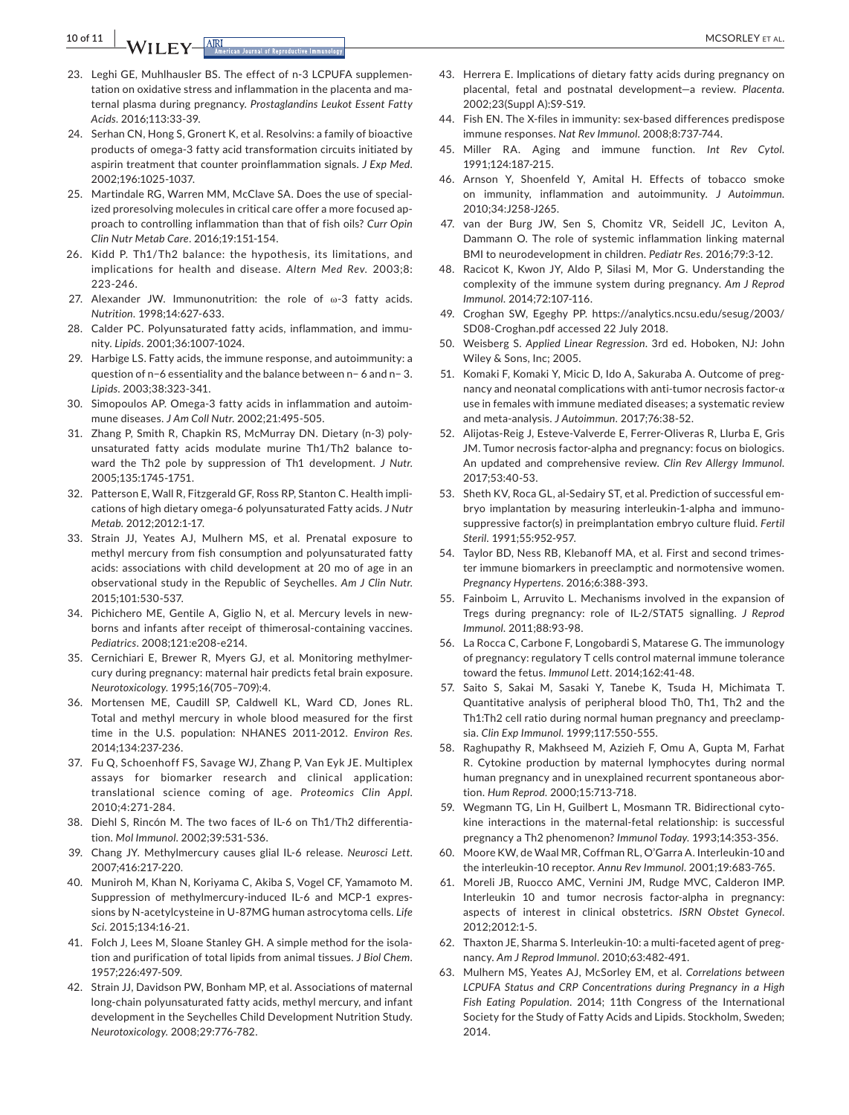**10 of 11 | AAALLEY ET AL.**  $\overline{ARI}$  **ARE** 

- 23. Leghi GE, Muhlhausler BS. The effect of n-3 LCPUFA supplementation on oxidative stress and inflammation in the placenta and maternal plasma during pregnancy. *Prostaglandins Leukot Essent Fatty Acids*. 2016;113:33‐39.
- 24. Serhan CN, Hong S, Gronert K, et al. Resolvins: a family of bioactive products of omega-3 fatty acid transformation circuits initiated by aspirin treatment that counter proinflammation signals. *J Exp Med*. 2002;196:1025‐1037.
- 25. Martindale RG, Warren MM, McClave SA, Does the use of specialized proresolving molecules in critical care offer a more focused approach to controlling inflammation than that of fish oils? *Curr Opin Clin Nutr Metab Care*. 2016;19:151‐154.
- 26. Kidd P. Th1/Th2 balance: the hypothesis, its limitations, and implications for health and disease. *Altern Med Rev*. 2003;8: 223‐246.
- 27. Alexander JW. Immunonutrition: the role of ω-3 fatty acids. *Nutrition*. 1998;14:627‐633.
- 28. Calder PC. Polyunsaturated fatty acids, inflammation, and immunity. *Lipids*. 2001;36:1007‐1024.
- 29. Harbige LS. Fatty acids, the immune response, and autoimmunity: a question of n−6 essentiality and the balance between n− 6 and n− 3. *Lipids*. 2003;38:323‐341.
- 30. Simopoulos AP. Omega-3 fatty acids in inflammation and autoimmune diseases. *J Am Coll Nutr*. 2002;21:495‐505.
- 31. Zhang P, Smith R, Chapkin RS, McMurray DN. Dietary (n-3) polyunsaturated fatty acids modulate murine Th1/Th2 balance toward the Th2 pole by suppression of Th1 development. *J Nutr*. 2005;135:1745‐1751.
- 32. Patterson E, Wall R, Fitzgerald GF, Ross RP, Stanton C. Health implications of high dietary omega-6 polyunsaturated Fatty acids. *J Nutr Metab*. 2012;2012:1‐17.
- 33. Strain JJ, Yeates AJ, Mulhern MS, et al. Prenatal exposure to methyl mercury from fish consumption and polyunsaturated fatty acids: associations with child development at 20 mo of age in an observational study in the Republic of Seychelles. *Am J Clin Nutr*. 2015;101:530‐537.
- 34. Pichichero ME, Gentile A, Giglio N, et al. Mercury levels in newborns and infants after receipt of thimerosal-containing vaccines. *Pediatrics*. 2008;121:e208‐e214.
- 35. Cernichiari E, Brewer R, Myers GJ, et al. Monitoring methylmercury during pregnancy: maternal hair predicts fetal brain exposure. *Neurotoxicology*. 1995;16(705–709):4.
- 36. Mortensen ME, Caudill SP, Caldwell KL, Ward CD, Jones RL. Total and methyl mercury in whole blood measured for the first time in the U.S. population: NHANES 2011-2012. *Environ Res*. 2014;134:237‐236.
- 37. Fu Q, Schoenhoff FS, Savage WJ, Zhang P, Van Eyk JE. Multiplex assays for biomarker research and clinical application: translational science coming of age. *Proteomics Clin Appl*. 2010;4:271‐284.
- 38. Diehl S, Rincón M. The two faces of IL-6 on Th1/Th2 differentiation. *Mol Immunol*. 2002;39:531‐536.
- 39. Chang JY. Methylmercury causes glial IL-6 release. *Neurosci Lett*. 2007;416:217‐220.
- 40. Muniroh M, Khan N, Koriyama C, Akiba S, Vogel CF, Yamamoto M. Suppression of methylmercury-induced IL-6 and MCP-1 expressions by N-acetylcysteine in U-87MG human astrocytoma cells. *Life Sci*. 2015;134:16‐21.
- 41. Folch J, Lees M, Sloane Stanley GH. A simple method for the isolation and purification of total lipids from animal tissues. *J Biol Chem*. 1957;226:497‐509.
- 42. Strain JJ, Davidson PW, Bonham MP, et al. Associations of maternal long-chain polyunsaturated fatty acids, methyl mercury, and infant development in the Seychelles Child Development Nutrition Study. *Neurotoxicology*. 2008;29:776‐782.
- 43. Herrera E. Implications of dietary fatty acids during pregnancy on placental, fetal and postnatal development—a review. *Placenta*. 2002;23(Suppl A):S9‐S19.
- 44. Fish EN. The X-files in immunity: sex-based differences predispose immune responses. *Nat Rev Immunol*. 2008;8:737‐744.
- 45. Miller RA. Aging and immune function. *Int Rev Cytol*. 1991;124:187‐215.
- 46. Arnson Y, Shoenfeld Y, Amital H. Effects of tobacco smoke on immunity, inflammation and autoimmunity. *J Autoimmun*. 2010;34:J258‐J265.
- 47. van der Burg JW, Sen S, Chomitz VR, Seidell JC, Leviton A, Dammann O. The role of systemic inflammation linking maternal BMI to neurodevelopment in children. *Pediatr Res*. 2016;79:3‐12.
- 48. Racicot K, Kwon JY, Aldo P, Silasi M, Mor G. Understanding the complexity of the immune system during pregnancy. *Am J Reprod Immunol*. 2014;72:107‐116.
- 49. Croghan SW, Egeghy PP. [https://analytics.ncsu.edu/sesug/2003/](https://analytics.ncsu.edu/sesug/2003/SD08-Croghan.pdf) [SD08-Croghan.pdf](https://analytics.ncsu.edu/sesug/2003/SD08-Croghan.pdf) accessed 22 July 2018.
- 50. Weisberg S. *Applied Linear Regression*. 3rd ed. Hoboken, NJ: John Wiley & Sons, Inc; 2005.
- 51. Komaki F, Komaki Y, Micic D, Ido A, Sakuraba A. Outcome of pregnancy and neonatal complications with anti-tumor necrosis factor-α use in females with immune mediated diseases; a systematic review and meta-analysis. *J Autoimmun*. 2017;76:38‐52.
- 52. Alijotas-Reig J, Esteve-Valverde E, Ferrer-Oliveras R, Llurba E, Gris JM. Tumor necrosis factor-alpha and pregnancy: focus on biologics. An updated and comprehensive review. *Clin Rev Allergy Immunol*. 2017;53:40‐53.
- 53. Sheth KV, Roca GL, al-Sedairy ST, et al. Prediction of successful embryo implantation by measuring interleukin-1-alpha and immunosuppressive factor(s) in preimplantation embryo culture fluid. *Fertil Steril*. 1991;55:952‐957.
- 54. Taylor BD, Ness RB, Klebanoff MA, et al. First and second trimester immune biomarkers in preeclamptic and normotensive women. *Pregnancy Hypertens*. 2016;6:388‐393.
- 55. Fainboim L, Arruvito L. Mechanisms involved in the expansion of Tregs during pregnancy: role of IL-2/STAT5 signalling. *J Reprod Immunol*. 2011;88:93‐98.
- 56. La Rocca C, Carbone F, Longobardi S, Matarese G. The immunology of pregnancy: regulatory T cells control maternal immune tolerance toward the fetus. *Immunol Lett*. 2014;162:41‐48.
- 57. Saito S, Sakai M, Sasaki Y, Tanebe K, Tsuda H, Michimata T. Quantitative analysis of peripheral blood Th0, Th1, Th2 and the Th1:Th2 cell ratio during normal human pregnancy and preeclampsia. *Clin Exp Immunol*. 1999;117:550‐555.
- 58. Raghupathy R, Makhseed M, Azizieh F, Omu A, Gupta M, Farhat R. Cytokine production by maternal lymphocytes during normal human pregnancy and in unexplained recurrent spontaneous abortion. *Hum Reprod*. 2000;15:713‐718.
- 59. Wegmann TG, Lin H, Guilbert L, Mosmann TR. Bidirectional cytokine interactions in the maternal-fetal relationship: is successful pregnancy a Th2 phenomenon? *Immunol Today*. 1993;14:353‐356.
- 60. Moore KW, de Waal MR, Coffman RL, O'Garra A. Interleukin-10 and the interleukin-10 receptor. *Annu Rev Immunol*. 2001;19:683‐765.
- 61. Moreli JB, Ruocco AMC, Vernini JM, Rudge MVC, Calderon IMP. Interleukin 10 and tumor necrosis factor-alpha in pregnancy: aspects of interest in clinical obstetrics. *ISRN Obstet Gynecol*. 2012;2012:1‐5.
- 62. Thaxton JE, Sharma S. Interleukin-10: a multi-faceted agent of pregnancy. *Am J Reprod Immunol*. 2010;63:482‐491.
- 63. Mulhern MS, Yeates AJ, McSorley EM, et al. *Correlations between LCPUFA Status and CRP Concentrations during Pregnancy in a High Fish Eating Population*. 2014; 11th Congress of the International Society for the Study of Fatty Acids and Lipids. Stockholm, Sweden; 2014.